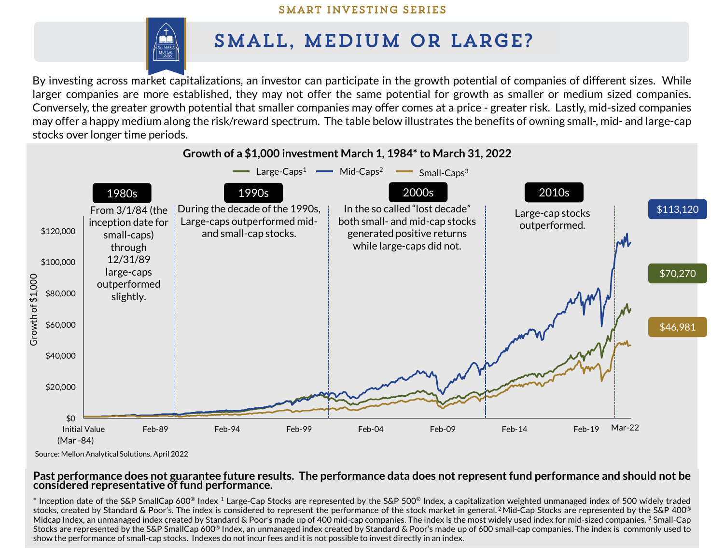### SMART INVESTING SERIES



# SMALL, MEDIUM OR LARGE?

By investing across market capitalizations, an investor can participate in the growth potential of companies of different sizes. While larger companies are more established, they may not offer the same potential for growth as smaller or medium sized companies. Conversely, the greater growth potential that smaller companies may offer comes at a price - greater risk. Lastly, mid-sized companies may offer a happy medium along the risk/reward spectrum. The table below illustrates the benefits of owning small-, mid- and large-cap stocks over longer time periods.



Source: Mellon Analytical Solutions, April 2022

#### Past performance does not guarantee future results. The performance data does not represent fund performance and should not be **considered representative of fund performance.**

 $*$  Inception date of the S&P SmallCap 600® Index 1 Large-Cap Stocks are represented by the S&P 500® Index, a capitalization weighted unmanaged index of 500 widely traded stocks, created by Standard & Poor's. The index is considered to represent the performance of the stock market in general. <sup>2</sup>Mid-Cap Stocks are represented by the S&P 400® Midcap Index, an unmanaged index created by Standard & Poor's made up of 400 mid-cap companies. The index is the most widely used index for mid-sized companies. <sup>3</sup> Small-Cap Stocks are represented by the S&P SmallCap 600® Index, an unmanaged index created by Standard & Poor's made up of 600 small-cap companies. The index is commonly used to show the performance of small-cap stocks. Indexes do not incur fees and it is not possible to invest directly in an index.